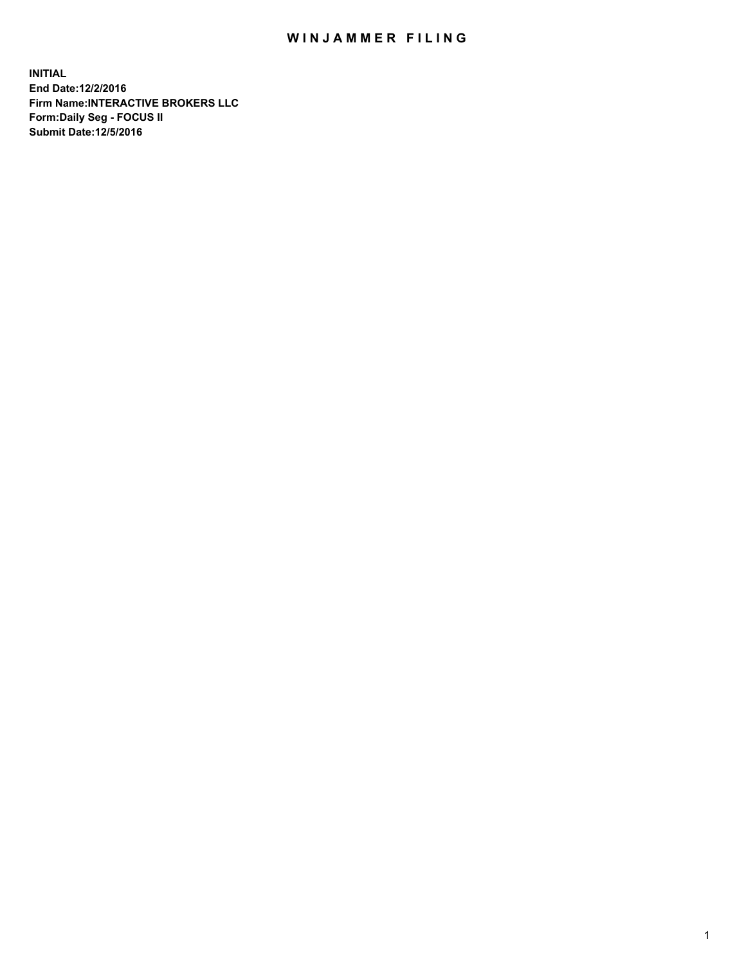## WIN JAMMER FILING

**INITIAL End Date:12/2/2016 Firm Name:INTERACTIVE BROKERS LLC Form:Daily Seg - FOCUS II Submit Date:12/5/2016**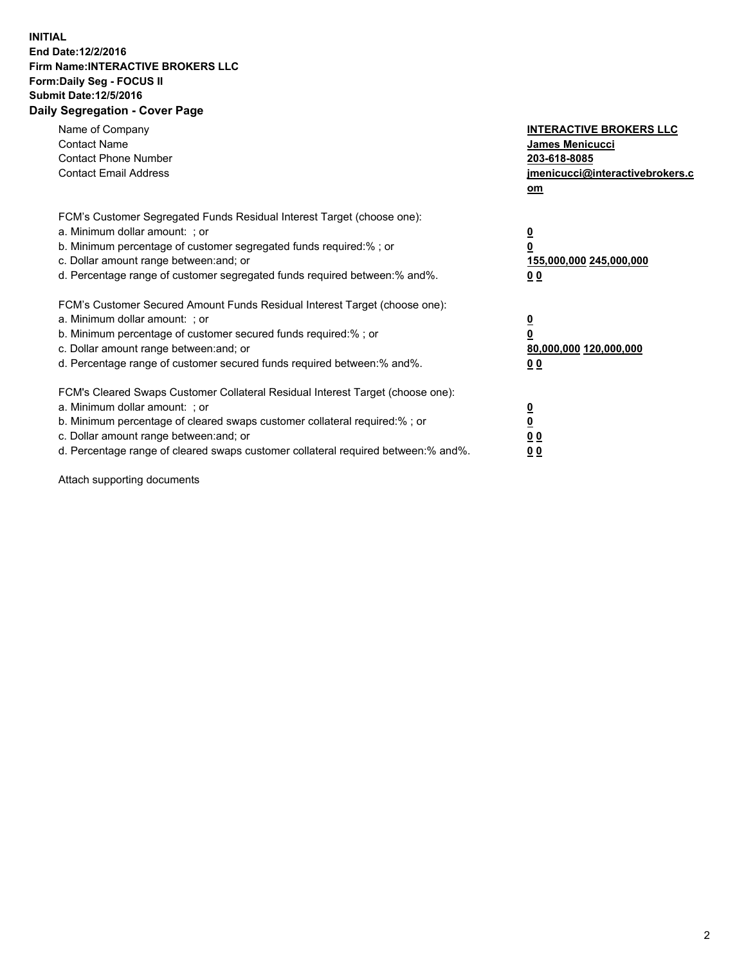## **INITIAL End Date:12/2/2016 Firm Name:INTERACTIVE BROKERS LLC Form:Daily Seg - FOCUS II Submit Date:12/5/2016 Daily Segregation - Cover Page**

| Name of Company<br><b>Contact Name</b><br><b>Contact Phone Number</b><br><b>Contact Email Address</b>                                                                                                                                                                                                                          | <b>INTERACTIVE BROKERS LLC</b><br><b>James Menicucci</b><br>203-618-8085<br>jmenicucci@interactivebrokers.c<br>om |
|--------------------------------------------------------------------------------------------------------------------------------------------------------------------------------------------------------------------------------------------------------------------------------------------------------------------------------|-------------------------------------------------------------------------------------------------------------------|
| FCM's Customer Segregated Funds Residual Interest Target (choose one):<br>a. Minimum dollar amount: ; or<br>b. Minimum percentage of customer segregated funds required:%; or<br>c. Dollar amount range between: and; or<br>d. Percentage range of customer segregated funds required between:% and%.                          | $\overline{\mathbf{0}}$<br>0<br>155,000,000 245,000,000<br>0 <sub>0</sub>                                         |
| FCM's Customer Secured Amount Funds Residual Interest Target (choose one):<br>a. Minimum dollar amount: ; or<br>b. Minimum percentage of customer secured funds required:%; or<br>c. Dollar amount range between: and; or<br>d. Percentage range of customer secured funds required between: % and %.                          | $\overline{\mathbf{0}}$<br>0<br>80,000,000 120,000,000<br>00                                                      |
| FCM's Cleared Swaps Customer Collateral Residual Interest Target (choose one):<br>a. Minimum dollar amount: ; or<br>b. Minimum percentage of cleared swaps customer collateral required:% ; or<br>c. Dollar amount range between: and; or<br>d. Percentage range of cleared swaps customer collateral required between:% and%. | $\overline{\mathbf{0}}$<br>$\overline{\mathbf{0}}$<br>0 <sub>0</sub><br><u>00</u>                                 |

Attach supporting documents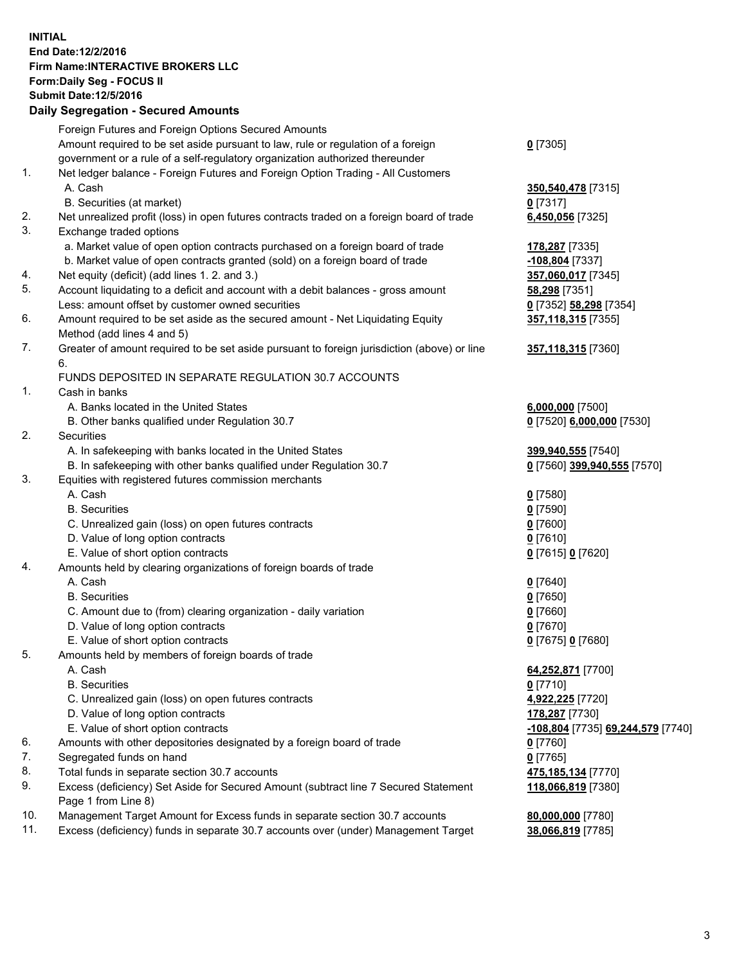## **INITIAL End Date:12/2/2016 Firm Name:INTERACTIVE BROKERS LLC Form:Daily Seg - FOCUS II Submit Date:12/5/2016 Daily Segregation - Secured Amounts**

|     | Dany Ocgregation - Oceanea Annoanta                                                         |                                   |
|-----|---------------------------------------------------------------------------------------------|-----------------------------------|
|     | Foreign Futures and Foreign Options Secured Amounts                                         |                                   |
|     | Amount required to be set aside pursuant to law, rule or regulation of a foreign            | $0$ [7305]                        |
|     | government or a rule of a self-regulatory organization authorized thereunder                |                                   |
| 1.  | Net ledger balance - Foreign Futures and Foreign Option Trading - All Customers             |                                   |
|     | A. Cash                                                                                     | 350,540,478 [7315]                |
|     | B. Securities (at market)                                                                   | $0$ [7317]                        |
| 2.  | Net unrealized profit (loss) in open futures contracts traded on a foreign board of trade   | 6,450,056 [7325]                  |
| 3.  | Exchange traded options                                                                     |                                   |
|     | a. Market value of open option contracts purchased on a foreign board of trade              | 178,287 [7335]                    |
|     | b. Market value of open contracts granted (sold) on a foreign board of trade                | -108,804 [7337]                   |
| 4.  | Net equity (deficit) (add lines 1.2. and 3.)                                                | 357,060,017 [7345]                |
| 5.  | Account liquidating to a deficit and account with a debit balances - gross amount           | 58,298 [7351]                     |
|     | Less: amount offset by customer owned securities                                            | 0 [7352] 58,298 [7354]            |
| 6.  | Amount required to be set aside as the secured amount - Net Liquidating Equity              | 357,118,315 [7355]                |
|     | Method (add lines 4 and 5)                                                                  |                                   |
| 7.  | Greater of amount required to be set aside pursuant to foreign jurisdiction (above) or line | 357,118,315 [7360]                |
|     | 6.                                                                                          |                                   |
|     | FUNDS DEPOSITED IN SEPARATE REGULATION 30.7 ACCOUNTS                                        |                                   |
| 1.  | Cash in banks                                                                               |                                   |
|     | A. Banks located in the United States                                                       | 6,000,000 [7500]                  |
|     | B. Other banks qualified under Regulation 30.7                                              | 0 [7520] 6,000,000 [7530]         |
| 2.  | Securities                                                                                  |                                   |
|     | A. In safekeeping with banks located in the United States                                   | 399,940,555 [7540]                |
|     | B. In safekeeping with other banks qualified under Regulation 30.7                          | 0 [7560] 399,940,555 [7570]       |
| 3.  | Equities with registered futures commission merchants                                       |                                   |
|     | A. Cash                                                                                     | $0$ [7580]                        |
|     | <b>B.</b> Securities                                                                        | $0$ [7590]                        |
|     | C. Unrealized gain (loss) on open futures contracts                                         | $0$ [7600]                        |
|     | D. Value of long option contracts                                                           | $0$ [7610]                        |
|     | E. Value of short option contracts                                                          | 0 [7615] 0 [7620]                 |
| 4.  | Amounts held by clearing organizations of foreign boards of trade                           |                                   |
|     | A. Cash                                                                                     | $0$ [7640]                        |
|     | <b>B.</b> Securities                                                                        | $0$ [7650]                        |
|     | C. Amount due to (from) clearing organization - daily variation                             | $0$ [7660]                        |
|     | D. Value of long option contracts                                                           | $0$ [7670]                        |
|     | E. Value of short option contracts                                                          | 0 [7675] 0 [7680]                 |
| 5.  | Amounts held by members of foreign boards of trade                                          |                                   |
|     | A. Cash                                                                                     | 64,252,871 [7700]                 |
|     | <b>B.</b> Securities                                                                        | $0$ [7710]                        |
|     | C. Unrealized gain (loss) on open futures contracts                                         | 4,922,225 [7720]                  |
|     | D. Value of long option contracts                                                           | 178,287 [7730]                    |
|     | E. Value of short option contracts                                                          | -108,804 [7735] 69,244,579 [7740] |
| 6.  | Amounts with other depositories designated by a foreign board of trade                      | $0$ [7760]                        |
| 7.  | Segregated funds on hand                                                                    | $0$ [7765]                        |
| 8.  | Total funds in separate section 30.7 accounts                                               | 475,185,134 [7770]                |
| 9.  | Excess (deficiency) Set Aside for Secured Amount (subtract line 7 Secured Statement         | 118,066,819 [7380]                |
|     | Page 1 from Line 8)                                                                         |                                   |
| 10. | Management Target Amount for Excess funds in separate section 30.7 accounts                 | 80,000,000 [7780]                 |
| 11. | Excess (deficiency) funds in separate 30.7 accounts over (under) Management Target          | 38,066,819 [7785]                 |
|     |                                                                                             |                                   |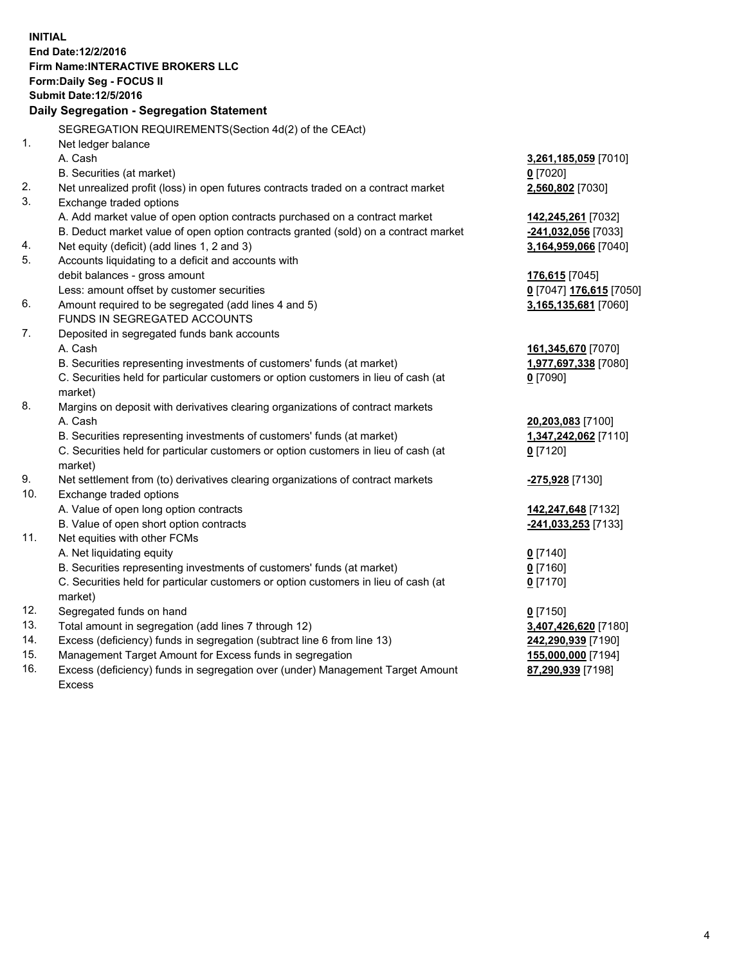**INITIAL End Date:12/2/2016 Firm Name:INTERACTIVE BROKERS LLC Form:Daily Seg - FOCUS II Submit Date:12/5/2016 Daily Segregation - Segregation Statement** SEGREGATION REQUIREMENTS(Section 4d(2) of the CEAct) 1. Net ledger balance A. Cash **3,261,185,059** [7010] B. Securities (at market) **0** [7020] 2. Net unrealized profit (loss) in open futures contracts traded on a contract market **2,560,802** [7030] 3. Exchange traded options A. Add market value of open option contracts purchased on a contract market **142,245,261** [7032] B. Deduct market value of open option contracts granted (sold) on a contract market **-241,032,056** [7033] 4. Net equity (deficit) (add lines 1, 2 and 3) **3,164,959,066** [7040] 5. Accounts liquidating to a deficit and accounts with debit balances - gross amount **176,615** [7045] Less: amount offset by customer securities **0** [7047] **176,615** [7050] 6. Amount required to be segregated (add lines 4 and 5) **3,165,135,681** [7060] FUNDS IN SEGREGATED ACCOUNTS 7. Deposited in segregated funds bank accounts A. Cash **161,345,670** [7070] B. Securities representing investments of customers' funds (at market) **1,977,697,338** [7080] C. Securities held for particular customers or option customers in lieu of cash (at market) **0** [7090] 8. Margins on deposit with derivatives clearing organizations of contract markets A. Cash **20,203,083** [7100] B. Securities representing investments of customers' funds (at market) **1,347,242,062** [7110] C. Securities held for particular customers or option customers in lieu of cash (at market) **0** [7120] 9. Net settlement from (to) derivatives clearing organizations of contract markets **-275,928** [7130] 10. Exchange traded options A. Value of open long option contracts **142,247,648** [7132] B. Value of open short option contracts **-241,033,253** [7133] 11. Net equities with other FCMs A. Net liquidating equity **0** [7140] B. Securities representing investments of customers' funds (at market) **0** [7160] C. Securities held for particular customers or option customers in lieu of cash (at market) **0** [7170] 12. Segregated funds on hand **0** [7150] 13. Total amount in segregation (add lines 7 through 12) **3,407,426,620** [7180] 14. Excess (deficiency) funds in segregation (subtract line 6 from line 13) **242,290,939** [7190] 15. Management Target Amount for Excess funds in segregation **155,000,000** [7194] **87,290,939** [7198]

16. Excess (deficiency) funds in segregation over (under) Management Target Amount Excess